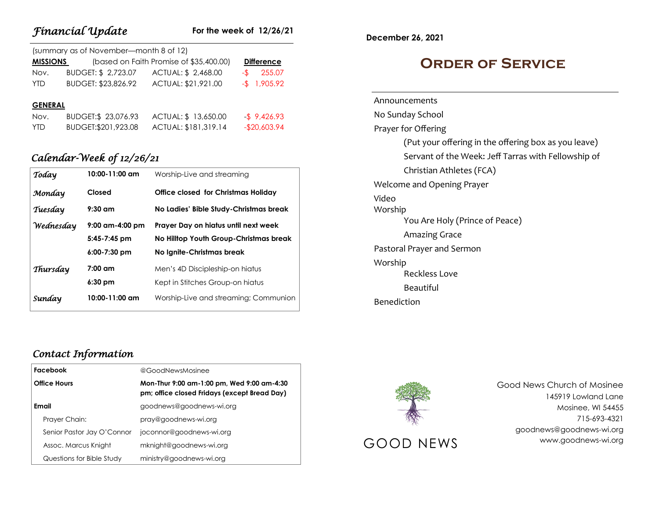| Fínancíal Update<br>For the week of 12/26/21 |                                        |                                         |                   |  |
|----------------------------------------------|----------------------------------------|-----------------------------------------|-------------------|--|
|                                              | (summary as of November-month 8 of 12) |                                         |                   |  |
| <b>MISSIONS</b>                              |                                        | (based on Faith Promise of \$35,400.00) | <b>Difference</b> |  |
| Nov.                                         | BUDGET: \$2,723.07                     | ACTUAL: \$2,468.00                      | 255.07<br>-\$     |  |
| <b>YTD</b>                                   | BUDGET: \$23,826.92                    | ACTUAL: \$21,921.00                     | $-$ \$ 1,905.92   |  |
| <b>GENERAL</b>                               |                                        |                                         |                   |  |
| Nov.                                         | BUDGET:\$ 23,076.93                    | ACTUAL: \$13,650.00                     | $-$ \$ 9,426.93   |  |
| <b>YTD</b>                                   | BUDGET: \$201, 923.08                  | ACTUAL: \$181,319.14                    | $-$20,603.94$     |  |

## *Calendar-Week of 12/26/21*

| Today     | $10:00 - 11:00$ am | Worship-Live and streaming                 |  |
|-----------|--------------------|--------------------------------------------|--|
| Monday    | Closed             | <b>Office closed for Christmas Holiday</b> |  |
| Tuesday   | $9:30$ am          | No Ladies' Bible Study-Christmas break     |  |
| Wednesday | $9:00$ am-4:00 pm  | Prayer Day on hiatus until next week       |  |
|           | $5:45 - 7:45$ pm   | No Hilltop Youth Group-Christmas break     |  |
|           | $6:00 - 7:30$ pm   | No Ignite-Christmas break                  |  |
| Thursday  | $7:00$ am          | Men's 4D Discipleship-on highus            |  |
|           | $6:30$ pm          | Kept in Stitches Group-on hiatus           |  |
| Sunday    | $10:00 - 11:00$ am | Worship-Live and streaming; Communion      |  |

### *Contact Information*

| Facebook            |                            | @GoodNewsMosinee                                                                           |  |
|---------------------|----------------------------|--------------------------------------------------------------------------------------------|--|
| <b>Office Hours</b> |                            | Mon-Thur 9:00 am-1:00 pm, Wed 9:00 am-4:30<br>pm; office closed Fridays (except Bread Day) |  |
| Email               |                            | goodnews@goodnews-wi.org                                                                   |  |
|                     | Prayer Chain:              | pray@goodnews-wi.org                                                                       |  |
|                     | Senior Pastor Jay O'Connor | joconnor@goodnews-wi.org                                                                   |  |
|                     | Assoc. Marcus Knight       | mknight@goodnews-wi.org                                                                    |  |
|                     | Questions for Bible Study  | ministry@goodnews-wi.org                                                                   |  |

**December 26, 2021**

## **Order of Service**

Announcements No Sunday School Prayer for Offering (Put your offering in the offering box as you leave) Servant of the Week: Jeff Tarras with Fellowship of Christian Athletes (FCA) Welcome and Opening Prayer Video Worship You Are Holy (Prince of Peace) Amazing Grace Pastoral Prayer and Sermon Worship Reckless Love Beautiful Benediction



Good News Church of Mosinee 145919 Lowland Lane Mosinee, WI 54455 715-693-4321 goodnews@goodnews-wi.org GOOD NEWS www.goodnews-wi.org